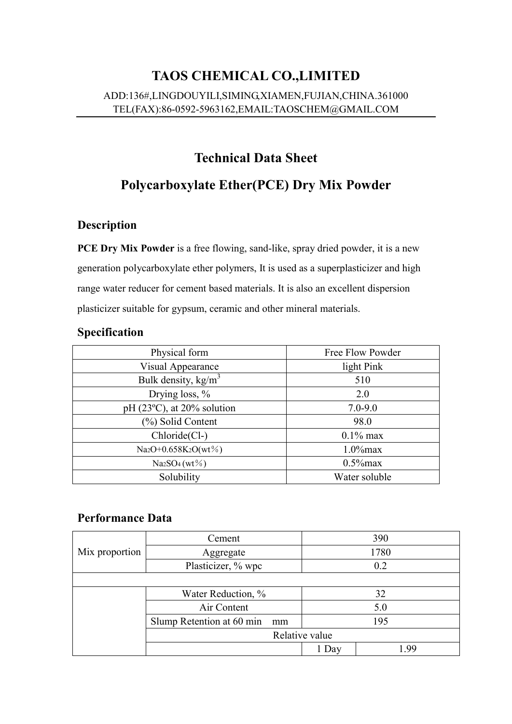# **TAOS CHEMICAL CO.,LIMITED** ADD:136#,LINGDOUYILI,SIMING,XIAMEN,FUJIAN,CHINA.361000 TEL(FAX):86-0592-5963162,EMAIL:TAOSCHEM@GMAIL.COM

# **Technical Data Sheet**

# **Polycarboxylate Ether(PCE) Dry Mix Powder**

### **Description**

**PCE Dry Mix Powder** is a free flowing, sand-like, spray dried powder, it is a new generation polycarboxylate ether polymers, It is used as a superplasticizer and high range water reducer for cement based materials. It is also an excellent dispersion plasticizer suitable for gypsum, ceramic and other mineral materials.

#### **Specification**

| Physical form                                | Free Flow Powder |  |
|----------------------------------------------|------------------|--|
| Visual Appearance                            | light Pink       |  |
| Bulk density, $kg/m3$                        | 510              |  |
| Drying loss, %                               | 2.0              |  |
| pH $(23^{\circ}C)$ , at 20% solution         | $7.0 - 9.0$      |  |
| (%) Solid Content                            | 98.0             |  |
| Chloride(Cl-)                                | $0.1\%$ max      |  |
| Na <sub>2</sub> O+0.658K <sub>2</sub> O(wt%) | $1.0\%$ max      |  |
| $Na2SO4(wt\%)$                               | $0.5\%$ max      |  |
| Solubility                                   | Water soluble    |  |

#### **Performance Data**

|                | Cement                          | 390   |     |  |  |  |
|----------------|---------------------------------|-------|-----|--|--|--|
| Mix proportion | Aggregate                       | 1780  |     |  |  |  |
|                | Plasticizer, % wpc              | 0.2   |     |  |  |  |
|                |                                 |       |     |  |  |  |
|                | Water Reduction, %              |       | 32  |  |  |  |
|                | Air Content                     |       | 5.0 |  |  |  |
|                | Slump Retention at 60 min<br>mm | 195   |     |  |  |  |
|                | Relative value                  |       |     |  |  |  |
|                |                                 | 1 Day |     |  |  |  |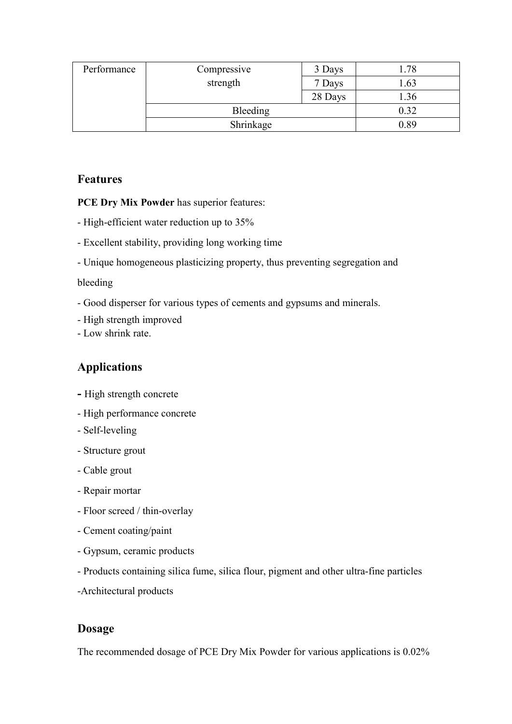| Performance | Compressive | 3 Days  | 78   |
|-------------|-------------|---------|------|
|             | strength    | 7 Days  | 1.63 |
|             |             | 28 Days | 1.36 |
|             | Bleeding    |         | 0.32 |
|             | Shrinkage   |         | 0.89 |

#### **Features**

**PCE Dry Mix Powder** has superior features:

- High-efficient water reduction up to 35%
- Excellent stability, providing long working time
- Unique homogeneous plasticizing property, thus preventing segregation and

#### bleeding

- Good disperser for various types of cements and gypsums and minerals.
- High strength improved
- Low shrink rate.

#### **Applications**

- **-** High strength concrete
- High performance concrete
- Self-leveling
- Structure grout
- Cable grout
- Repair mortar
- Floor screed / thin-overlay
- Cement coating/paint
- Gypsum, ceramic products
- Products containing silica fume, silica flour, pigment and other ultra-fine particles
- -Architectural products

#### **Dosage**

The recommended dosage of PCE Dry Mix Powder for various applications is 0.02%